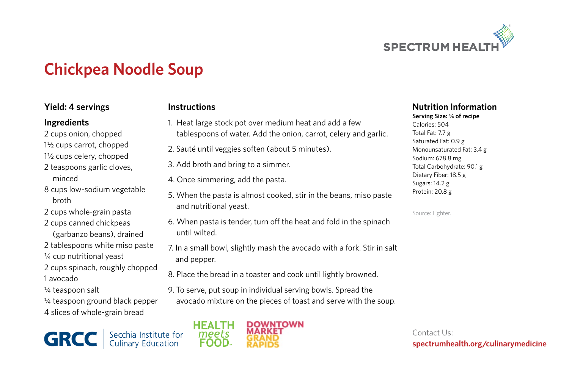

# **Chickpea Noodle Soup**

### **Yield: 4 servings**

#### **Ingredients**

- 2 cups onion, chopped
- 1½ cups carrot, chopped
- 1½ cups celery, chopped
- 2 teaspoons garlic cloves, minced
- 8 cups low-sodium vegetable broth
- 2 cups whole-grain pasta
- 2 cups canned chickpeas (garbanzo beans), drained
- 2 tablespoons white miso paste
- ¼ cup nutritional yeast
- 2 cups spinach, roughly chopped
- 1 avocado
- ¼ teaspoon salt
- ¼ teaspoon ground black pepper 4 slices of whole-grain bread



#### **Instructions**

- 1. Heat large stock pot over medium heat and add a few tablespoons of water. Add the onion, carrot, celery and garlic.
- 2. Sauté until veggies soften (about 5 minutes).
- 3. Add broth and bring to a simmer.
- 4. Once simmering, add the pasta.
- 5. When the pasta is almost cooked, stir in the beans, miso paste and nutritional yeast.
- 6. When pasta is tender, turn off the heat and fold in the spinach until wilted.
- 7. In a small bowl, slightly mash the avocado with a fork. Stir in salt and pepper.
- 8. Place the bread in a toaster and cook until lightly browned.
- 9. To serve, put soup in individual serving bowls. Spread the avocado mixture on the pieces of toast and serve with the soup.



### **Nutrition Information**

**Serving Size: 1/4 of recipe**  Calories: 504 Total Fat: 7.7 g Saturated Fat: 0.9 g Monounsaturated Fat: 3.4 g Sodium: 678.8 mg Total Carbohydrate: 90.1 g Dietary Fiber: 18.5 g Sugars: 14.2 g Protein: 20.8 g

Source: Lighter.

Contact Us: **spectrumhealth.org/culinarymedicine**